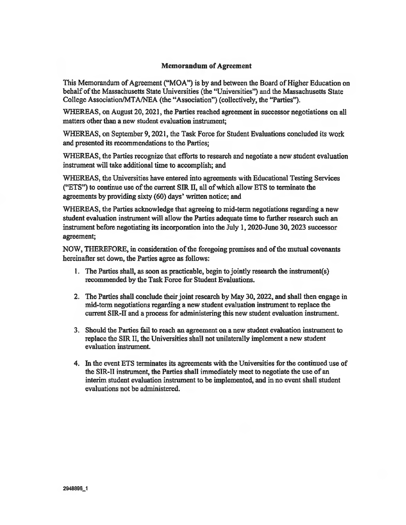## Memorandum of Agreement

This Memorandum of Agreement ("MOA") is by and between the Board of Higher Education on behalf of the Massachusetts State Universities (the "Universities") and the Massachusetts State College Association/MTA/NEA (the "Association") (collectively, the "Parties").

WHEREAS, on August 20, 2021, the Parties reached agreement in successor negotiations on all matters other than a new student evaluation instrument;

WHEREAS, on September 9, 2021, the Task Force for Student Evaluations concluded its work and presented its recommendations to the Parties;

WHEREAS, the Parties recognize that efforts to research and negotiate a new student evaluation instrument will take additional time to accomplish; and

WHEREAS, the Universities have entered into agreements with Educational Testing Services ("ETS") to continue use of the current SIR II, all of which allow ETS to terminate the agreements by providing sixty (60) days' written notice; and

WHEREAS, the Parties acknowledge that agreeing to mid-term negotiations regarding a new student evaluation instrument will allow the Parties adequate time to further research such an instrument before negotiating its incorporation into the July 1, 2020-June 30, 2023 successor agreement;

NOW, THEREFORE, in consideration of the foregoing premises and of the mutual covenants hereinafter set down, the Parties agree as follows:

- 1. The Parties shall, as soon as practicable, begin to jointly research the instrument(s) recommended by the Task Force for Student Evaluations.
- 2. The Parties shall conclude their joint research by May 30, 2022, and shall then engage in mid-term negotiations regarding a new student evaluation instrument to replace the current SIR-II and a process for administering this new student evaluation instrument
- 3. Should the Parties fail to reach an agreement on a new student evaluation instrument to replace the SIR II, the Universities shall not unilaterally implement a new student evaluation instrument.
- 4. In the event ETS terminates its agreements with the Universities for the continued use of the SIR-II instrument, the Parties shall immediately meet to negotiate the use of an interim student evaluation instrument to be implemented, and in no event shall student evaluations not be administered.